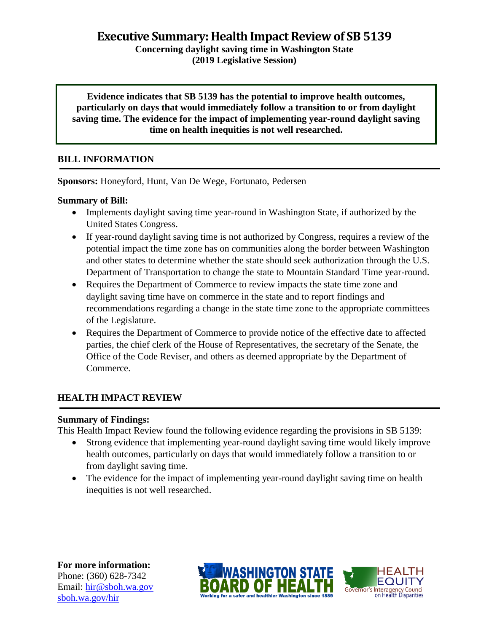**Executive Summary: Health Impact Review of SB 5139**

**Concerning daylight saving time in Washington State (2019 Legislative Session)**

**Evidence indicates that SB 5139 has the potential to improve health outcomes, particularly on days that would immediately follow a transition to or from daylight saving time. The evidence for the impact of implementing year-round daylight saving time on health inequities is not well researched.**

# **BILL INFORMATION**

**Sponsors:** Honeyford, Hunt, Van De Wege, Fortunato, Pedersen

#### **Summary of Bill:**

- Implements daylight saving time year-round in Washington State, if authorized by the United States Congress.
- If year-round daylight saving time is not authorized by Congress, requires a review of the potential impact the time zone has on communities along the border between Washington and other states to determine whether the state should seek authorization through the U.S. Department of Transportation to change the state to Mountain Standard Time year-round.
- Requires the Department of Commerce to review impacts the state time zone and daylight saving time have on commerce in the state and to report findings and recommendations regarding a change in the state time zone to the appropriate committees of the Legislature.
- Requires the Department of Commerce to provide notice of the effective date to affected parties, the chief clerk of the House of Representatives, the secretary of the Senate, the Office of the Code Reviser, and others as deemed appropriate by the Department of Commerce.

#### **HEALTH IMPACT REVIEW**

#### **Summary of Findings:**

This Health Impact Review found the following evidence regarding the provisions in SB 5139:

- Strong evidence that implementing year-round daylight saving time would likely improve health outcomes, particularly on days that would immediately follow a transition to or from daylight saving time.
- The evidence for the impact of implementing year-round daylight saving time on health inequities is not well researched.

**For more information:** Phone: (360) 628-7342 Email: [hir@sboh.wa.gov](mailto:hir@sboh.wa.gov) [sboh.wa.gov/](http://sboh.wa.gov/)hir



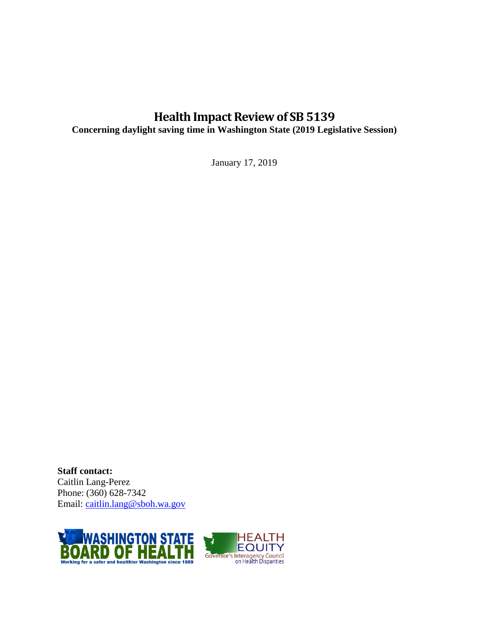# **Health Impact Review of SB 5139**

**Concerning daylight saving time in Washington State (2019 Legislative Session)**

January 17, 2019

**Staff contact:** Caitlin Lang-Perez Phone: (360) 628-7342 Email: [caitlin.lang@sboh.wa.gov](mailto:caitlin.lang@sboh.wa.gov)

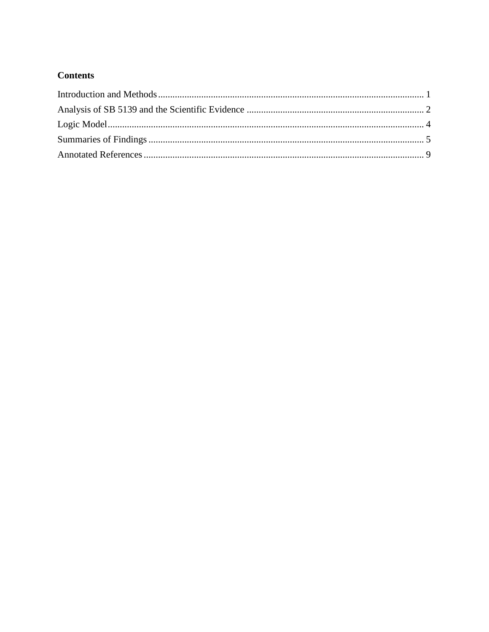# **Contents**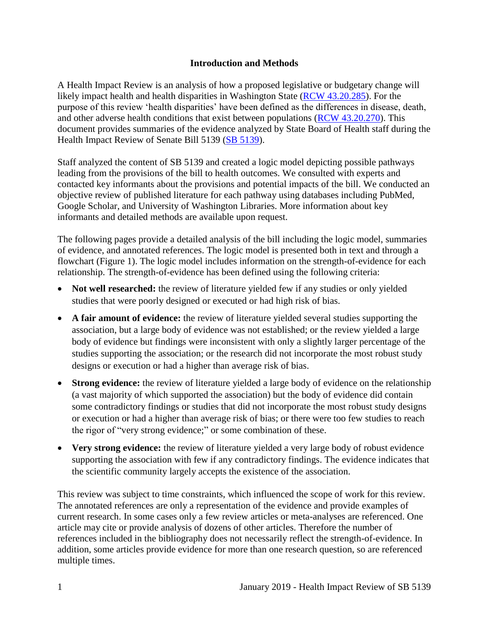#### **Introduction and Methods**

<span id="page-3-0"></span>A Health Impact Review is an analysis of how a proposed legislative or budgetary change will likely impact health and health disparities in Washington State [\(RCW 43.20.285\)](http://apps.leg.wa.gov/rcw/default.aspx?cite=43.20.285). For the purpose of this review 'health disparities' have been defined as the differences in disease, death, and other adverse health conditions that exist between populations [\(RCW 43.20.270\)](http://apps.leg.wa.gov/rcw/default.aspx?cite=43.20.270). This document provides summaries of the evidence analyzed by State Board of Health staff during the Health Impact Review of Senate Bill 5139 (SB [5139\)](https://app.leg.wa.gov/billsummary?BillNumber=5139&Initiative=false&Year=2019).

Staff analyzed the content of SB 5139 and created a logic model depicting possible pathways leading from the provisions of the bill to health outcomes. We consulted with experts and contacted key informants about the provisions and potential impacts of the bill. We conducted an objective review of published literature for each pathway using databases including PubMed, Google Scholar, and University of Washington Libraries. More information about key informants and detailed methods are available upon request.

The following pages provide a detailed analysis of the bill including the logic model, summaries of evidence, and annotated references. The logic model is presented both in text and through a flowchart (Figure 1). The logic model includes information on the strength-of-evidence for each relationship. The strength-of-evidence has been defined using the following criteria:

- Not well researched: the review of literature yielded few if any studies or only yielded studies that were poorly designed or executed or had high risk of bias.
- **A fair amount of evidence:** the review of literature yielded several studies supporting the association, but a large body of evidence was not established; or the review yielded a large body of evidence but findings were inconsistent with only a slightly larger percentage of the studies supporting the association; or the research did not incorporate the most robust study designs or execution or had a higher than average risk of bias.
- **Strong evidence:** the review of literature yielded a large body of evidence on the relationship (a vast majority of which supported the association) but the body of evidence did contain some contradictory findings or studies that did not incorporate the most robust study designs or execution or had a higher than average risk of bias; or there were too few studies to reach the rigor of "very strong evidence;" or some combination of these.
- **Very strong evidence:** the review of literature yielded a very large body of robust evidence supporting the association with few if any contradictory findings. The evidence indicates that the scientific community largely accepts the existence of the association.

This review was subject to time constraints, which influenced the scope of work for this review. The annotated references are only a representation of the evidence and provide examples of current research. In some cases only a few review articles or meta-analyses are referenced. One article may cite or provide analysis of dozens of other articles. Therefore the number of references included in the bibliography does not necessarily reflect the strength-of-evidence. In addition, some articles provide evidence for more than one research question, so are referenced multiple times.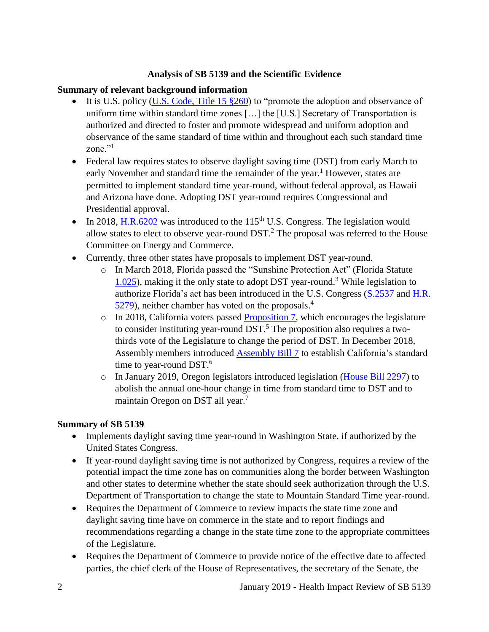#### **Analysis of SB 5139 and the Scientific Evidence**

#### <span id="page-4-0"></span>**Summary of relevant background information**

- It is U.S. policy (U.S. Code, [Title 15 §260\)](https://www.govinfo.gov/content/pkg/USCODE-2011-title15/html/USCODE-2011-title15-chap6-subchapIX.htm) to "promote the adoption and observance of uniform time within standard time zones […] the [U.S.] Secretary of Transportation is authorized and directed to foster and promote widespread and uniform adoption and observance of the same standard of time within and throughout each such standard time zone."<sup>1</sup>
- Federal law requires states to observe daylight saving time (DST) from early March to early November and standard time the remainder of the year.<sup>1</sup> However, states are permitted to implement standard time year-round, without federal approval, as Hawaii and Arizona have done. Adopting DST year-round requires Congressional and Presidential approval.
- In 2018, [H.R.6202](https://www.congress.gov/bill/115th-congress/house-bill/6202/text) was introduced to the 115<sup>th</sup> U.S. Congress. The legislation would allow states to elect to observe year-round  $DST<sup>2</sup>$ . The proposal was referred to the House Committee on Energy and Commerce.
- Currently, three other states have proposals to implement DST year-round.
	- o In March 2018, Florida passed the "Sunshine Protection Act" (Florida Statute [1.025\)](http://www.leg.state.fl.us/statutes/index.cfm?mode=View%20Statutes&SubMenu=1&App_mode=Display_Statute&Search_String=1.025&URL=0000-0099/0001/Sections/0001.025.html), making it the only state to adopt DST year-round.<sup>3</sup> While legislation to authorize Florida's act has been introduced in the U.S. Congress [\(S.2537](https://www.congress.gov/bill/115th-congress/senate-bill/2537/text) and [H.R.](https://www.congress.gov/bill/115th-congress/house-bill/5279)  [5279\)](https://www.congress.gov/bill/115th-congress/house-bill/5279), neither chamber has voted on the proposals.<sup>4</sup>
	- $\circ$  In 2018, California voters passed [Proposition 7,](http://www.voterguide.sos.ca.gov/propositions/7/) which encourages the legislature to consider instituting year-round  $DST$ .<sup>5</sup> The proposition also requires a twothirds vote of the Legislature to change the period of DST. In December 2018, Assembly members introduced [Assembly Bill](http://leginfo.legislature.ca.gov/faces/billTextClient.xhtml?bill_id=201920200AB7&search_keywords=daylight+saving+time) 7 to establish California's standard time to year-round DST.<sup>6</sup>
	- o In January 2019, Oregon legislators introduced legislation [\(House Bill 2297\)](https://olis.leg.state.or.us/liz/2019R1/Measures/Overview/HB2297) to abolish the annual one-hour change in time from standard time to DST and to maintain Oregon on DST all year. 7

#### **Summary of SB 5139**

- Implements daylight saving time year-round in Washington State, if authorized by the United States Congress.
- If year-round daylight saving time is not authorized by Congress, requires a review of the potential impact the time zone has on communities along the border between Washington and other states to determine whether the state should seek authorization through the U.S. Department of Transportation to change the state to Mountain Standard Time year-round.
- Requires the Department of Commerce to review impacts the state time zone and daylight saving time have on commerce in the state and to report findings and recommendations regarding a change in the state time zone to the appropriate committees of the Legislature.
- Requires the Department of Commerce to provide notice of the effective date to affected parties, the chief clerk of the House of Representatives, the secretary of the Senate, the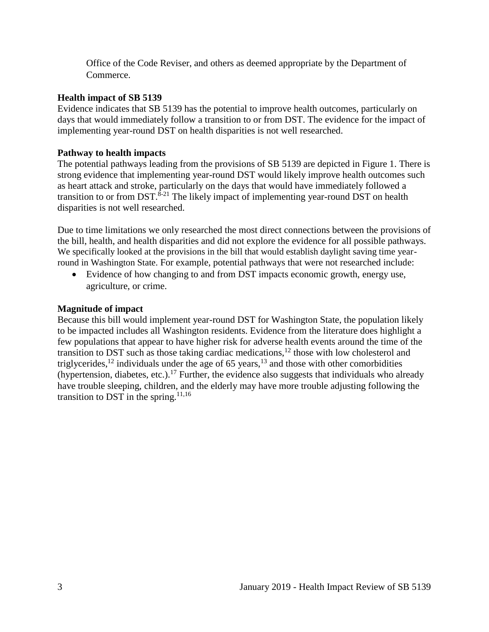Office of the Code Reviser, and others as deemed appropriate by the Department of Commerce.

#### **Health impact of SB 5139**

Evidence indicates that SB 5139 has the potential to improve health outcomes, particularly on days that would immediately follow a transition to or from DST. The evidence for the impact of implementing year-round DST on health disparities is not well researched.

#### **Pathway to health impacts**

The potential pathways leading from the provisions of SB 5139 are depicted in Figure 1. There is strong evidence that implementing year-round DST would likely improve health outcomes such as heart attack and stroke, particularly on the days that would have immediately followed a transition to or from DST.<sup>8-21</sup> The likely impact of implementing year-round DST on health disparities is not well researched.

Due to time limitations we only researched the most direct connections between the provisions of the bill, health, and health disparities and did not explore the evidence for all possible pathways. We specifically looked at the provisions in the bill that would establish daylight saving time yearround in Washington State. For example, potential pathways that were not researched include:

 Evidence of how changing to and from DST impacts economic growth, energy use, agriculture, or crime.

#### **Magnitude of impact**

Because this bill would implement year-round DST for Washington State, the population likely to be impacted includes all Washington residents. Evidence from the literature does highlight a few populations that appear to have higher risk for adverse health events around the time of the transition to DST such as those taking cardiac medications, $12$  those with low cholesterol and triglycerides,<sup>12</sup> individuals under the age of 65 years,<sup>13</sup> and those with other comorbidities (hypertension, diabetes, etc.).<sup>17</sup> Further, the evidence also suggests that individuals who already have trouble sleeping, children, and the elderly may have more trouble adjusting following the transition to DST in the spring.<sup>[11,](#page-13-0)[16](#page-15-0)</sup>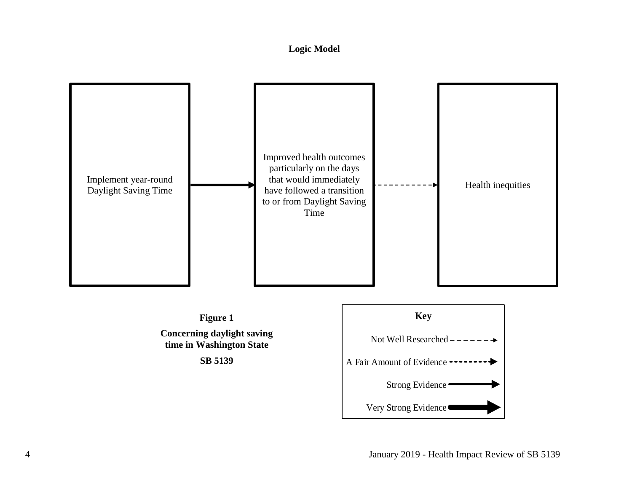# **Logic Model**

<span id="page-6-0"></span>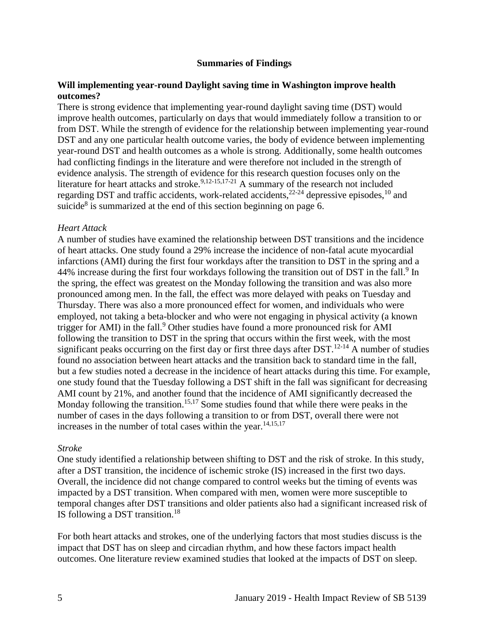#### **Summaries of Findings**

#### <span id="page-7-0"></span>**Will implementing year-round Daylight saving time in Washington improve health outcomes?**

There is strong evidence that implementing year-round daylight saving time (DST) would improve health outcomes, particularly on days that would immediately follow a transition to or from DST. While the strength of evidence for the relationship between implementing year-round DST and any one particular health outcome varies, the body of evidence between implementing year-round DST and health outcomes as a whole is strong. Additionally, some health outcomes had conflicting findings in the literature and were therefore not included in the strength of evidence analysis. The strength of evidence for this research question focuses only on the literature for heart attacks and stroke.<sup>[9,](#page-12-0)[12-15](#page-13-1)[,17-21](#page-15-1)</sup> A summary of the research not included regarding DST and traffic accidents, work-related accidents,<sup>22-24</sup> depressive episodes,<sup>10</sup> and suicide<sup>8</sup> is summarized at the end of this section beginning on page 6.

#### *Heart Attack*

A number of studies have examined the relationship between DST transitions and the incidence of heart attacks. One study found a 29% increase the incidence of non-fatal acute myocardial infarctions (AMI) during the first four workdays after the transition to DST in the spring and a 44% increase during the first four workdays following the transition out of DST in the fall.<sup>9</sup> In the spring, the effect was greatest on the Monday following the transition and was also more pronounced among men. In the fall, the effect was more delayed with peaks on Tuesday and Thursday. There was also a more pronounced effect for women, and individuals who were employed, not taking a beta-blocker and who were not engaging in physical activity (a known trigger for AMI) in the fall.<sup>9</sup> Other studies have found a more pronounced risk for AMI following the transition to DST in the spring that occurs within the first week, with the most significant peaks occurring on the first day or first three days after  $DST$ .<sup>12-14</sup> A number of studies found no association between heart attacks and the transition back to standard time in the fall, but a few studies noted a decrease in the incidence of heart attacks during this time. For example, one study found that the Tuesday following a DST shift in the fall was significant for decreasing AMI count by 21%, and another found that the incidence of AMI significantly decreased the Monday following the transition.<sup>[15,](#page-14-0)[17](#page-15-1)</sup> Some studies found that while there were peaks in the number of cases in the days following a transition to or from DST, overall there were not increases in the number of total cases within the year. $14,15,17$  $14,15,17$  $14,15,17$ 

#### *Stroke*

One study identified a relationship between shifting to DST and the risk of stroke. In this study, after a DST transition, the incidence of ischemic stroke (IS) increased in the first two days. Overall, the incidence did not change compared to control weeks but the timing of events was impacted by a DST transition. When compared with men, women were more susceptible to temporal changes after DST transitions and older patients also had a significant increased risk of IS following a DST transition.<sup>18</sup>

For both heart attacks and strokes, one of the underlying factors that most studies discuss is the impact that DST has on sleep and circadian rhythm, and how these factors impact health outcomes. One literature review examined studies that looked at the impacts of DST on sleep.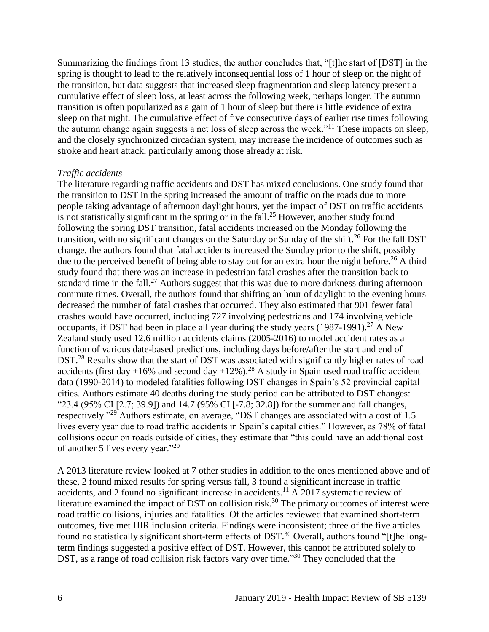Summarizing the findings from 13 studies, the author concludes that, "[t]he start of [DST] in the spring is thought to lead to the relatively inconsequential loss of 1 hour of sleep on the night of the transition, but data suggests that increased sleep fragmentation and sleep latency present a cumulative effect of sleep loss, at least across the following week, perhaps longer. The autumn transition is often popularized as a gain of 1 hour of sleep but there is little evidence of extra sleep on that night. The cumulative effect of five consecutive days of earlier rise times following the autumn change again suggests a net loss of sleep across the week."<sup>11</sup> These impacts on sleep, and the closely synchronized circadian system, may increase the incidence of outcomes such as stroke and heart attack, particularly among those already at risk.

#### *Traffic accidents*

The literature regarding traffic accidents and DST has mixed conclusions. One study found that the transition to DST in the spring increased the amount of traffic on the roads due to more people taking advantage of afternoon daylight hours, yet the impact of DST on traffic accidents is not statistically significant in the spring or in the fall.<sup>25</sup> However, another study found following the spring DST transition, fatal accidents increased on the Monday following the transition, with no significant changes on the Saturday or Sunday of the shift.<sup>26</sup> For the fall DST change, the authors found that fatal accidents increased the Sunday prior to the shift, possibly due to the perceived benefit of being able to stay out for an extra hour the night before.<sup>26</sup> A third study found that there was an increase in pedestrian fatal crashes after the transition back to standard time in the fall.<sup>27</sup> Authors suggest that this was due to more darkness during afternoon commute times. Overall, the authors found that shifting an hour of daylight to the evening hours decreased the number of fatal crashes that occurred. They also estimated that 901 fewer fatal crashes would have occurred, including 727 involving pedestrians and 174 involving vehicle occupants, if DST had been in place all year during the study years  $(1987-1991)$ <sup>27</sup> A New Zealand study used 12.6 million accidents claims (2005-2016) to model accident rates as a function of various date-based predictions, including days before/after the start and end of DST.<sup>28</sup> Results show that the start of DST was associated with significantly higher rates of road accidents (first day +16% and second day +12%).<sup>28</sup> A study in Spain used road traffic accident data (1990-2014) to modeled fatalities following DST changes in Spain's 52 provincial capital cities. Authors estimate 40 deaths during the study period can be attributed to DST changes: "23.4 (95% CI [2.7; 39.9]) and 14.7 (95% CI [-7.8; 32.8]) for the summer and fall changes, respectively."<sup>29</sup> Authors estimate, on average, "DST changes are associated with a cost of 1.5 lives every year due to road traffic accidents in Spain's capital cities." However, as 78% of fatal collisions occur on roads outside of cities, they estimate that "this could have an additional cost of another 5 lives every year."<sup>29</sup>

A 2013 literature review looked at 7 other studies in addition to the ones mentioned above and of these, 2 found mixed results for spring versus fall, 3 found a significant increase in traffic accidents, and 2 found no significant increase in accidents.<sup>11</sup> A 2017 systematic review of literature examined the impact of DST on collision risk.<sup>30</sup> The primary outcomes of interest were road traffic collisions, injuries and fatalities. Of the articles reviewed that examined short-term outcomes, five met HIR inclusion criteria. Findings were inconsistent; three of the five articles found no statistically significant short-term effects of DST.<sup>30</sup> Overall, authors found "[t]he longterm findings suggested a positive effect of DST. However, this cannot be attributed solely to DST, as a range of road collision risk factors vary over time."<sup>30</sup> They concluded that the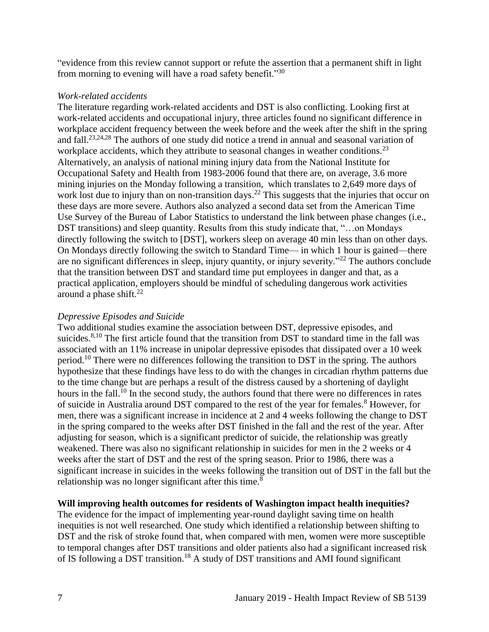"evidence from this review cannot support or refute the assertion that a permanent shift in light from morning to evening will have a road safety benefit."<sup>30</sup>

#### *Work-related accidents*

The literature regarding work-related accidents and DST is also conflicting. Looking first at work-related accidents and occupational injury, three articles found no significant difference in workplace accident frequency between the week before and the week after the shift in the spring and fall.[23,](#page-17-0)[24,](#page-17-1)[28](#page-18-0) The authors of one study did notice a trend in annual and seasonal variation of workplace accidents, which they attribute to seasonal changes in weather conditions.<sup>23</sup> Alternatively, an analysis of national mining injury data from the National Institute for Occupational Safety and Health from 1983-2006 found that there are, on average, 3.6 more mining injuries on the Monday following a transition, which translates to 2,649 more days of work lost due to injury than on non-transition days.<sup>22</sup> This suggests that the injuries that occur on these days are more severe. Authors also analyzed a second data set from the American Time Use Survey of the Bureau of Labor Statistics to understand the link between phase changes (i.e., DST transitions) and sleep quantity. Results from this study indicate that, "…on Mondays directly following the switch to [DST], workers sleep on average 40 min less than on other days. On Mondays directly following the switch to Standard Time— in which 1 hour is gained—there are no significant differences in sleep, injury quantity, or injury severity."<sup>22</sup> The authors conclude that the transition between DST and standard time put employees in danger and that, as a practical application, employers should be mindful of scheduling dangerous work activities around a phase shift. $^{22}$ 

#### *Depressive Episodes and Suicide*

Two additional studies examine the association between DST, depressive episodes, and suicides.<sup>[8,](#page-12-1)[10](#page-12-2)</sup> The first article found that the transition from DST to standard time in the fall was associated with an 11% increase in unipolar depressive episodes that dissipated over a 10 week period.<sup>10</sup> There were no differences following the transition to DST in the spring. The authors hypothesize that these findings have less to do with the changes in circadian rhythm patterns due to the time change but are perhaps a result of the distress caused by a shortening of daylight hours in the fall.<sup>10</sup> In the second study, the authors found that there were no differences in rates of suicide in Australia around DST compared to the rest of the year for females.<sup>8</sup> However, for men, there was a significant increase in incidence at 2 and 4 weeks following the change to DST in the spring compared to the weeks after DST finished in the fall and the rest of the year. After adjusting for season, which is a significant predictor of suicide, the relationship was greatly weakened. There was also no significant relationship in suicides for men in the 2 weeks or 4 weeks after the start of DST and the rest of the spring season. Prior to 1986, there was a significant increase in suicides in the weeks following the transition out of DST in the fall but the relationship was no longer significant after this time.<sup>8</sup>

#### **Will improving health outcomes for residents of Washington impact health inequities?**

The evidence for the impact of implementing year-round daylight saving time on health inequities is not well researched. One study which identified a relationship between shifting to DST and the risk of stroke found that, when compared with men, women were more susceptible to temporal changes after DST transitions and older patients also had a significant increased risk of IS following a DST transition.<sup>18</sup> A study of DST transitions and AMI found significant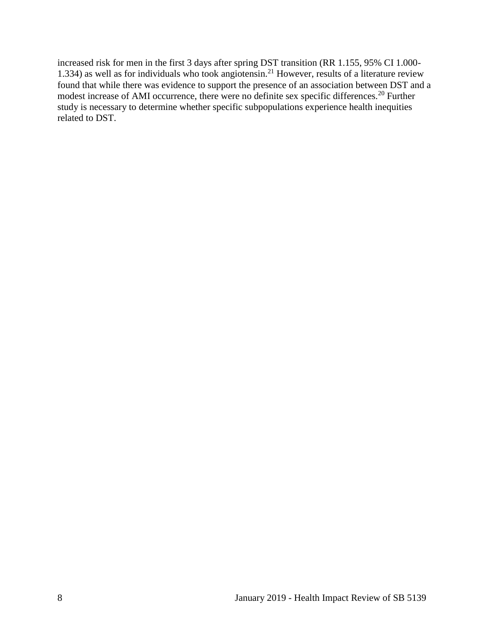increased risk for men in the first 3 days after spring DST transition (RR 1.155, 95% CI 1.000- 1.334) as well as for individuals who took angiotensin.<sup>21</sup> However, results of a literature review found that while there was evidence to support the presence of an association between DST and a modest increase of AMI occurrence, there were no definite sex specific differences.<sup>20</sup> Further study is necessary to determine whether specific subpopulations experience health inequities related to DST.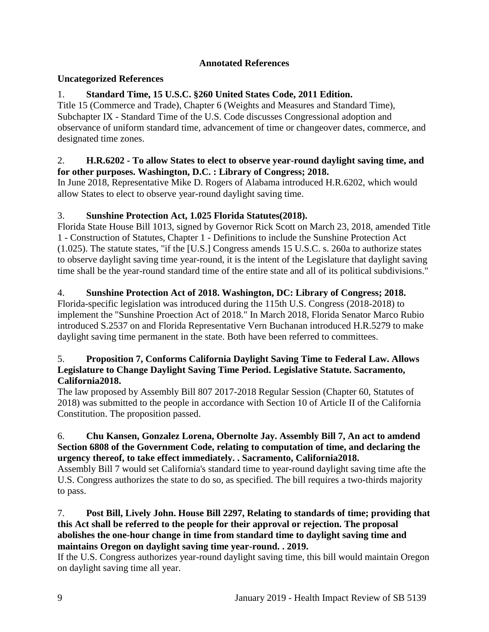# **Annotated References**

# <span id="page-11-0"></span>**Uncategorized References**

# 1. **Standard Time, 15 U.S.C. §260 United States Code, 2011 Edition.**

Title 15 (Commerce and Trade), Chapter 6 (Weights and Measures and Standard Time), Subchapter IX - Standard Time of the U.S. Code discusses Congressional adoption and observance of uniform standard time, advancement of time or changeover dates, commerce, and designated time zones.

## 2. **H.R.6202 - To allow States to elect to observe year-round daylight saving time, and for other purposes. Washington, D.C. : Library of Congress; 2018.**

In June 2018, Representative Mike D. Rogers of Alabama introduced H.R.6202, which would allow States to elect to observe year-round daylight saving time.

# 3. **Sunshine Protection Act, 1.025 Florida Statutes(2018).**

Florida State House Bill 1013, signed by Governor Rick Scott on March 23, 2018, amended Title 1 - Construction of Statutes, Chapter 1 - Definitions to include the Sunshine Protection Act (1.025). The statute states, "if the [U.S.] Congress amends 15 U.S.C. s. 260a to authorize states to observe daylight saving time year-round, it is the intent of the Legislature that daylight saving time shall be the year-round standard time of the entire state and all of its political subdivisions."

# 4. **Sunshine Protection Act of 2018. Washington, DC: Library of Congress; 2018.**

Florida-specific legislation was introduced during the 115th U.S. Congress (2018-2018) to implement the "Sunshine Proection Act of 2018." In March 2018, Florida Senator Marco Rubio introduced S.2537 on and Florida Representative Vern Buchanan introduced H.R.5279 to make daylight saving time permanent in the state. Both have been referred to committees.

#### 5. **Proposition 7, Conforms California Daylight Saving Time to Federal Law. Allows Legislature to Change Daylight Saving Time Period. Legislative Statute. Sacramento, California2018.**

The law proposed by Assembly Bill 807 2017-2018 Regular Session (Chapter 60, Statutes of 2018) was submitted to the people in accordance with Section 10 of Article II of the California Constitution. The proposition passed.

#### 6. **Chu Kansen, Gonzalez Lorena, Obernolte Jay. Assembly Bill 7, An act to amdend Section 6808 of the Government Code, relating to computation of time, and declaring the urgency thereof, to take effect immediately. . Sacramento, California2018.**

Assembly Bill 7 would set California's standard time to year-round daylight saving time afte the U.S. Congress authorizes the state to do so, as specified. The bill requires a two-thirds majority to pass.

## 7. **Post Bill, Lively John. House Bill 2297, Relating to standards of time; providing that this Act shall be referred to the people for their approval or rejection. The proposal abolishes the one-hour change in time from standard time to daylight saving time and maintains Oregon on daylight saving time year-round. . 2019.**

If the U.S. Congress authorizes year-round daylight saving time, this bill would maintain Oregon on daylight saving time all year.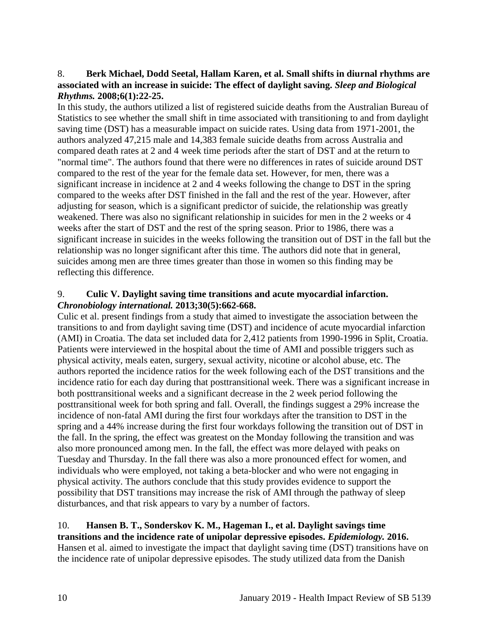#### <span id="page-12-1"></span>8. **Berk Michael, Dodd Seetal, Hallam Karen, et al. Small shifts in diurnal rhythms are associated with an increase in suicide: The effect of daylight saving.** *Sleep and Biological Rhythms.* **2008;6(1):22-25.**

In this study, the authors utilized a list of registered suicide deaths from the Australian Bureau of Statistics to see whether the small shift in time associated with transitioning to and from daylight saving time (DST) has a measurable impact on suicide rates. Using data from 1971-2001, the authors analyzed 47,215 male and 14,383 female suicide deaths from across Australia and compared death rates at 2 and 4 week time periods after the start of DST and at the return to "normal time". The authors found that there were no differences in rates of suicide around DST compared to the rest of the year for the female data set. However, for men, there was a significant increase in incidence at 2 and 4 weeks following the change to DST in the spring compared to the weeks after DST finished in the fall and the rest of the year. However, after adjusting for season, which is a significant predictor of suicide, the relationship was greatly weakened. There was also no significant relationship in suicides for men in the 2 weeks or 4 weeks after the start of DST and the rest of the spring season. Prior to 1986, there was a significant increase in suicides in the weeks following the transition out of DST in the fall but the relationship was no longer significant after this time. The authors did note that in general, suicides among men are three times greater than those in women so this finding may be reflecting this difference.

#### <span id="page-12-0"></span>9. **Culic V. Daylight saving time transitions and acute myocardial infarction.**  *Chronobiology international.* **2013;30(5):662-668.**

Culic et al. present findings from a study that aimed to investigate the association between the transitions to and from daylight saving time (DST) and incidence of acute myocardial infarction (AMI) in Croatia. The data set included data for 2,412 patients from 1990-1996 in Split, Croatia. Patients were interviewed in the hospital about the time of AMI and possible triggers such as physical activity, meals eaten, surgery, sexual activity, nicotine or alcohol abuse, etc. The authors reported the incidence ratios for the week following each of the DST transitions and the incidence ratio for each day during that posttransitional week. There was a significant increase in both posttransitional weeks and a significant decrease in the 2 week period following the posttransitional week for both spring and fall. Overall, the findings suggest a 29% increase the incidence of non-fatal AMI during the first four workdays after the transition to DST in the spring and a 44% increase during the first four workdays following the transition out of DST in the fall. In the spring, the effect was greatest on the Monday following the transition and was also more pronounced among men. In the fall, the effect was more delayed with peaks on Tuesday and Thursday. In the fall there was also a more pronounced effect for women, and individuals who were employed, not taking a beta-blocker and who were not engaging in physical activity. The authors conclude that this study provides evidence to support the possibility that DST transitions may increase the risk of AMI through the pathway of sleep disturbances, and that risk appears to vary by a number of factors.

#### <span id="page-12-2"></span>10. **Hansen B. T., Sonderskov K. M., Hageman I., et al. Daylight savings time transitions and the incidence rate of unipolar depressive episodes.** *Epidemiology.* **2016.** Hansen et al. aimed to investigate the impact that daylight saving time (DST) transitions have on the incidence rate of unipolar depressive episodes. The study utilized data from the Danish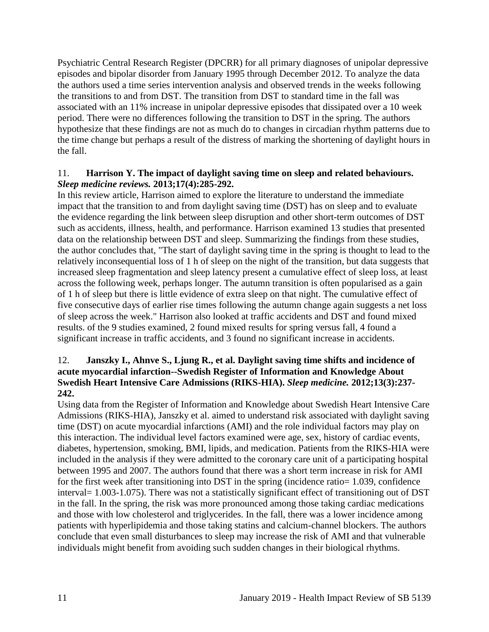Psychiatric Central Research Register (DPCRR) for all primary diagnoses of unipolar depressive episodes and bipolar disorder from January 1995 through December 2012. To analyze the data the authors used a time series intervention analysis and observed trends in the weeks following the transitions to and from DST. The transition from DST to standard time in the fall was associated with an 11% increase in unipolar depressive episodes that dissipated over a 10 week period. There were no differences following the transition to DST in the spring. The authors hypothesize that these findings are not as much do to changes in circadian rhythm patterns due to the time change but perhaps a result of the distress of marking the shortening of daylight hours in the fall.

## <span id="page-13-0"></span>11. **Harrison Y. The impact of daylight saving time on sleep and related behaviours.**  *Sleep medicine reviews.* **2013;17(4):285-292.**

In this review article, Harrison aimed to explore the literature to understand the immediate impact that the transition to and from daylight saving time (DST) has on sleep and to evaluate the evidence regarding the link between sleep disruption and other short-term outcomes of DST such as accidents, illness, health, and performance. Harrison examined 13 studies that presented data on the relationship between DST and sleep. Summarizing the findings from these studies, the author concludes that, "The start of daylight saving time in the spring is thought to lead to the relatively inconsequential loss of 1 h of sleep on the night of the transition, but data suggests that increased sleep fragmentation and sleep latency present a cumulative effect of sleep loss, at least across the following week, perhaps longer. The autumn transition is often popularised as a gain of 1 h of sleep but there is little evidence of extra sleep on that night. The cumulative effect of five consecutive days of earlier rise times following the autumn change again suggests a net loss of sleep across the week." Harrison also looked at traffic accidents and DST and found mixed results. of the 9 studies examined, 2 found mixed results for spring versus fall, 4 found a significant increase in traffic accidents, and 3 found no significant increase in accidents.

#### <span id="page-13-1"></span>12. **Janszky I., Ahnve S., Ljung R., et al. Daylight saving time shifts and incidence of acute myocardial infarction--Swedish Register of Information and Knowledge About Swedish Heart Intensive Care Admissions (RIKS-HIA).** *Sleep medicine.* **2012;13(3):237- 242.**

Using data from the Register of Information and Knowledge about Swedish Heart Intensive Care Admissions (RIKS-HIA), Janszky et al. aimed to understand risk associated with daylight saving time (DST) on acute myocardial infarctions (AMI) and the role individual factors may play on this interaction. The individual level factors examined were age, sex, history of cardiac events, diabetes, hypertension, smoking, BMI, lipids, and medication. Patients from the RIKS-HIA were included in the analysis if they were admitted to the coronary care unit of a participating hospital between 1995 and 2007. The authors found that there was a short term increase in risk for AMI for the first week after transitioning into DST in the spring (incidence ratio= 1.039, confidence interval= 1.003-1.075). There was not a statistically significant effect of transitioning out of DST in the fall. In the spring, the risk was more pronounced among those taking cardiac medications and those with low cholesterol and triglycerides. In the fall, there was a lower incidence among patients with hyperlipidemia and those taking statins and calcium-channel blockers. The authors conclude that even small disturbances to sleep may increase the risk of AMI and that vulnerable individuals might benefit from avoiding such sudden changes in their biological rhythms.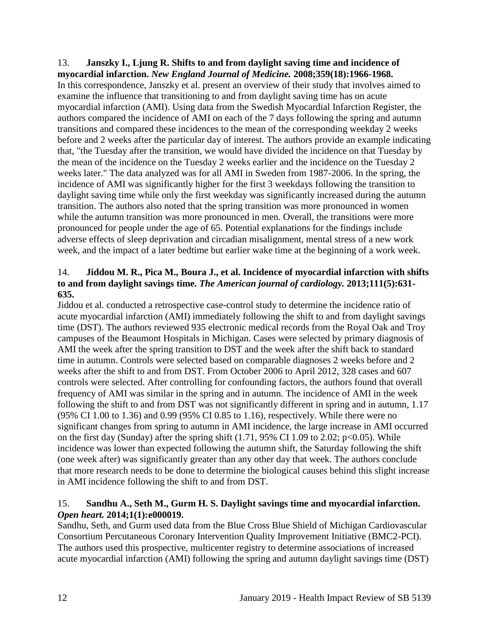#### 13. **Janszky I., Ljung R. Shifts to and from daylight saving time and incidence of myocardial infarction.** *New England Journal of Medicine.* **2008;359(18):1966-1968.**

In this correspondence, Janszky et al. present an overview of their study that involves aimed to examine the influence that transitioning to and from daylight saving time has on acute myocardial infarction (AMI). Using data from the Swedish Myocardial Infarction Register, the authors compared the incidence of AMI on each of the 7 days following the spring and autumn transitions and compared these incidences to the mean of the corresponding weekday 2 weeks before and 2 weeks after the particular day of interest. The authors provide an example indicating that, "the Tuesday after the transition, we would have divided the incidence on that Tuesday by the mean of the incidence on the Tuesday 2 weeks earlier and the incidence on the Tuesday 2 weeks later." The data analyzed was for all AMI in Sweden from 1987-2006. In the spring, the incidence of AMI was significantly higher for the first 3 weekdays following the transition to daylight saving time while only the first weekday was significantly increased during the autumn transition. The authors also noted that the spring transition was more pronounced in women while the autumn transition was more pronounced in men. Overall, the transitions were more pronounced for people under the age of 65. Potential explanations for the findings include adverse effects of sleep deprivation and circadian misalignment, mental stress of a new work week, and the impact of a later bedtime but earlier wake time at the beginning of a work week.

# <span id="page-14-1"></span>14. **Jiddou M. R., Pica M., Boura J., et al. Incidence of myocardial infarction with shifts to and from daylight savings time.** *The American journal of cardiology.* **2013;111(5):631- 635.**

Jiddou et al. conducted a retrospective case-control study to determine the incidence ratio of acute myocardial infarction (AMI) immediately following the shift to and from daylight savings time (DST). The authors reviewed 935 electronic medical records from the Royal Oak and Troy campuses of the Beaumont Hospitals in Michigan. Cases were selected by primary diagnosis of AMI the week after the spring transition to DST and the week after the shift back to standard time in autumn. Controls were selected based on comparable diagnoses 2 weeks before and 2 weeks after the shift to and from DST. From October 2006 to April 2012, 328 cases and 607 controls were selected. After controlling for confounding factors, the authors found that overall frequency of AMI was similar in the spring and in autumn. The incidence of AMI in the week following the shift to and from DST was not significantly different in spring and in autumn, 1.17 (95% CI 1.00 to 1.36) and 0.99 (95% CI 0.85 to 1.16), respectively. While there were no significant changes from spring to autumn in AMI incidence, the large increase in AMI occurred on the first day (Sunday) after the spring shift  $(1.71, 95\% \text{ CI } 1.09 \text{ to } 2.02; \text{ p} < 0.05)$ . While incidence was lower than expected following the autumn shift, the Saturday following the shift (one week after) was significantly greater than any other day that week. The authors conclude that more research needs to be done to determine the biological causes behind this slight increase in AMI incidence following the shift to and from DST.

# <span id="page-14-0"></span>15. **Sandhu A., Seth M., Gurm H. S. Daylight savings time and myocardial infarction.**  *Open heart.* **2014;1(1):e000019.**

Sandhu, Seth, and Gurm used data from the Blue Cross Blue Shield of Michigan Cardiovascular Consortium Percutaneous Coronary Intervention Quality Improvement Initiative (BMC2-PCI). The authors used this prospective, multicenter registry to determine associations of increased acute myocardial infarction (AMI) following the spring and autumn daylight savings time (DST)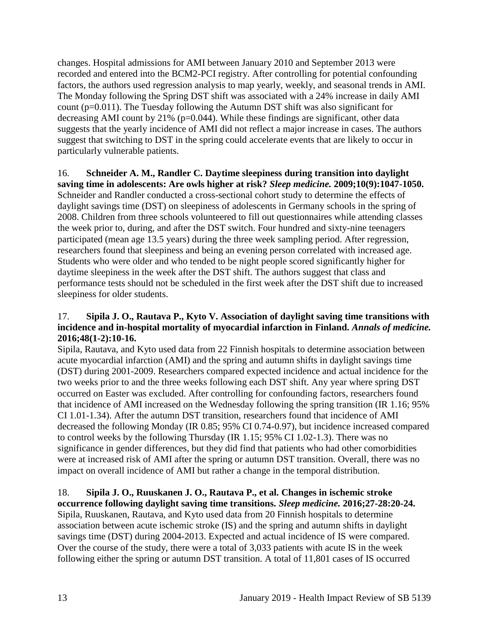changes. Hospital admissions for AMI between January 2010 and September 2013 were recorded and entered into the BCM2-PCI registry. After controlling for potential confounding factors, the authors used regression analysis to map yearly, weekly, and seasonal trends in AMI. The Monday following the Spring DST shift was associated with a 24% increase in daily AMI count (p=0.011). The Tuesday following the Autumn DST shift was also significant for decreasing AMI count by 21% (p=0.044). While these findings are significant, other data suggests that the yearly incidence of AMI did not reflect a major increase in cases. The authors suggest that switching to DST in the spring could accelerate events that are likely to occur in particularly vulnerable patients.

#### <span id="page-15-0"></span>16. **Schneider A. M., Randler C. Daytime sleepiness during transition into daylight saving time in adolescents: Are owls higher at risk?** *Sleep medicine.* **2009;10(9):1047-1050.** Schneider and Randler conducted a cross-sectional cohort study to determine the effects of daylight savings time (DST) on sleepiness of adolescents in Germany schools in the spring of 2008. Children from three schools volunteered to fill out questionnaires while attending classes the week prior to, during, and after the DST switch. Four hundred and sixty-nine teenagers participated (mean age 13.5 years) during the three week sampling period. After regression, researchers found that sleepiness and being an evening person correlated with increased age. Students who were older and who tended to be night people scored significantly higher for daytime sleepiness in the week after the DST shift. The authors suggest that class and performance tests should not be scheduled in the first week after the DST shift due to increased sleepiness for older students.

## <span id="page-15-1"></span>17. **Sipila J. O., Rautava P., Kyto V. Association of daylight saving time transitions with incidence and in-hospital mortality of myocardial infarction in Finland.** *Annals of medicine.*  **2016;48(1-2):10-16.**

Sipila, Rautava, and Kyto used data from 22 Finnish hospitals to determine association between acute myocardial infarction (AMI) and the spring and autumn shifts in daylight savings time (DST) during 2001-2009. Researchers compared expected incidence and actual incidence for the two weeks prior to and the three weeks following each DST shift. Any year where spring DST occurred on Easter was excluded. After controlling for confounding factors, researchers found that incidence of AMI increased on the Wednesday following the spring transition (IR 1.16; 95% CI 1.01-1.34). After the autumn DST transition, researchers found that incidence of AMI decreased the following Monday (IR 0.85; 95% CI 0.74-0.97), but incidence increased compared to control weeks by the following Thursday (IR 1.15; 95% CI 1.02-1.3). There was no significance in gender differences, but they did find that patients who had other comorbidities were at increased risk of AMI after the spring or autumn DST transition. Overall, there was no impact on overall incidence of AMI but rather a change in the temporal distribution.

# 18. **Sipila J. O., Ruuskanen J. O., Rautava P., et al. Changes in ischemic stroke**

**occurrence following daylight saving time transitions.** *Sleep medicine.* **2016;27-28:20-24.** Sipila, Ruuskanen, Rautava, and Kyto used data from 20 Finnish hospitals to determine association between acute ischemic stroke (IS) and the spring and autumn shifts in daylight savings time (DST) during 2004-2013. Expected and actual incidence of IS were compared. Over the course of the study, there were a total of 3,033 patients with acute IS in the week following either the spring or autumn DST transition. A total of 11,801 cases of IS occurred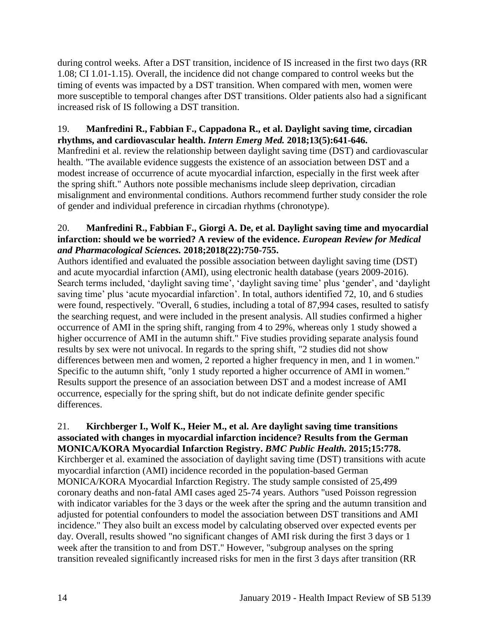during control weeks. After a DST transition, incidence of IS increased in the first two days (RR 1.08; CI 1.01-1.15). Overall, the incidence did not change compared to control weeks but the timing of events was impacted by a DST transition. When compared with men, women were more susceptible to temporal changes after DST transitions. Older patients also had a significant increased risk of IS following a DST transition.

# 19. **Manfredini R., Fabbian F., Cappadona R., et al. Daylight saving time, circadian rhythms, and cardiovascular health.** *Intern Emerg Med.* **2018;13(5):641-646.**

Manfredini et al. review the relationship between daylight saving time (DST) and cardiovascular health. "The available evidence suggests the existence of an association between DST and a modest increase of occurrence of acute myocardial infarction, especially in the first week after the spring shift." Authors note possible mechanisms include sleep deprivation, circadian misalignment and environmental conditions. Authors recommend further study consider the role of gender and individual preference in circadian rhythms (chronotype).

# 20. **Manfredini R., Fabbian F., Giorgi A. De, et al. Daylight saving time and myocardial infarction: should we be worried? A review of the evidence.** *European Review for Medical and Pharmacological Sciences.* **2018;2018(22):750-755.**

Authors identified and evaluated the possible association between daylight saving time (DST) and acute myocardial infarction (AMI), using electronic health database (years 2009-2016). Search terms included, 'daylight saving time', 'daylight saving time' plus 'gender', and 'daylight saving time' plus 'acute myocardial infarction'. In total, authors identified 72, 10, and 6 studies were found, respectively. "Overall, 6 studies, including a total of 87,994 cases, resulted to satisfy the searching request, and were included in the present analysis. All studies confirmed a higher occurrence of AMI in the spring shift, ranging from 4 to 29%, whereas only 1 study showed a higher occurrence of AMI in the autumn shift." Five studies providing separate analysis found results by sex were not univocal. In regards to the spring shift, "2 studies did not show differences between men and women, 2 reported a higher frequency in men, and 1 in women." Specific to the autumn shift, "only 1 study reported a higher occurrence of AMI in women." Results support the presence of an association between DST and a modest increase of AMI occurrence, especially for the spring shift, but do not indicate definite gender specific differences.

#### 21. **Kirchberger I., Wolf K., Heier M., et al. Are daylight saving time transitions associated with changes in myocardial infarction incidence? Results from the German MONICA/KORA Myocardial Infarction Registry.** *BMC Public Health.* **2015;15:778.**

Kirchberger et al. examined the association of daylight saving time (DST) transitions with acute myocardial infarction (AMI) incidence recorded in the population-based German MONICA/KORA Myocardial Infarction Registry. The study sample consisted of 25,499 coronary deaths and non-fatal AMI cases aged 25-74 years. Authors "used Poisson regression with indicator variables for the 3 days or the week after the spring and the autumn transition and adjusted for potential confounders to model the association between DST transitions and AMI incidence." They also built an excess model by calculating observed over expected events per day. Overall, results showed "no significant changes of AMI risk during the first 3 days or 1 week after the transition to and from DST." However, "subgroup analyses on the spring transition revealed significantly increased risks for men in the first 3 days after transition (RR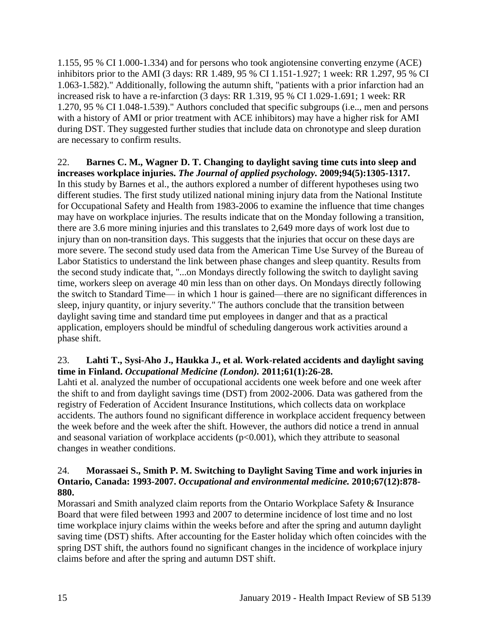1.155, 95 % CI 1.000-1.334) and for persons who took angiotensine converting enzyme (ACE) inhibitors prior to the AMI (3 days: RR 1.489, 95 % CI 1.151-1.927; 1 week: RR 1.297, 95 % CI 1.063-1.582)." Additionally, following the autumn shift, "patients with a prior infarction had an increased risk to have a re-infarction (3 days: RR 1.319, 95 % CI 1.029-1.691; 1 week: RR 1.270, 95 % CI 1.048-1.539)." Authors concluded that specific subgroups (i.e.., men and persons with a history of AMI or prior treatment with ACE inhibitors) may have a higher risk for AMI during DST. They suggested further studies that include data on chronotype and sleep duration are necessary to confirm results.

22. **Barnes C. M., Wagner D. T. Changing to daylight saving time cuts into sleep and increases workplace injuries.** *The Journal of applied psychology.* **2009;94(5):1305-1317.** In this study by Barnes et al., the authors explored a number of different hypotheses using two different studies. The first study utilized national mining injury data from the National Institute for Occupational Safety and Health from 1983-2006 to examine the influence that time changes may have on workplace injuries. The results indicate that on the Monday following a transition, there are 3.6 more mining injuries and this translates to 2,649 more days of work lost due to injury than on non-transition days. This suggests that the injuries that occur on these days are more severe. The second study used data from the American Time Use Survey of the Bureau of Labor Statistics to understand the link between phase changes and sleep quantity. Results from the second study indicate that, "...on Mondays directly following the switch to daylight saving time, workers sleep on average 40 min less than on other days. On Mondays directly following the switch to Standard Time— in which 1 hour is gained—there are no significant differences in sleep, injury quantity, or injury severity." The authors conclude that the transition between daylight saving time and standard time put employees in danger and that as a practical application, employers should be mindful of scheduling dangerous work activities around a phase shift.

# <span id="page-17-0"></span>23. **Lahti T., Sysi-Aho J., Haukka J., et al. Work-related accidents and daylight saving time in Finland.** *Occupational Medicine (London).* **2011;61(1):26-28.**

Lahti et al. analyzed the number of occupational accidents one week before and one week after the shift to and from daylight savings time (DST) from 2002-2006. Data was gathered from the registry of Federation of Accident Insurance Institutions, which collects data on workplace accidents. The authors found no significant difference in workplace accident frequency between the week before and the week after the shift. However, the authors did notice a trend in annual and seasonal variation of workplace accidents  $(p<0.001)$ , which they attribute to seasonal changes in weather conditions.

# <span id="page-17-1"></span>24. **Morassaei S., Smith P. M. Switching to Daylight Saving Time and work injuries in Ontario, Canada: 1993-2007.** *Occupational and environmental medicine.* **2010;67(12):878- 880.**

Morassari and Smith analyzed claim reports from the Ontario Workplace Safety & Insurance Board that were filed between 1993 and 2007 to determine incidence of lost time and no lost time workplace injury claims within the weeks before and after the spring and autumn daylight saving time (DST) shifts. After accounting for the Easter holiday which often coincides with the spring DST shift, the authors found no significant changes in the incidence of workplace injury claims before and after the spring and autumn DST shift.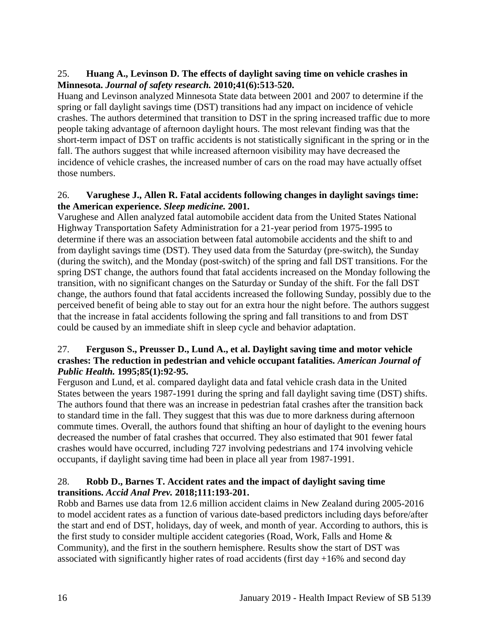# 25. **Huang A., Levinson D. The effects of daylight saving time on vehicle crashes in Minnesota.** *Journal of safety research.* **2010;41(6):513-520.**

Huang and Levinson analyzed Minnesota State data between 2001 and 2007 to determine if the spring or fall daylight savings time (DST) transitions had any impact on incidence of vehicle crashes. The authors determined that transition to DST in the spring increased traffic due to more people taking advantage of afternoon daylight hours. The most relevant finding was that the short-term impact of DST on traffic accidents is not statistically significant in the spring or in the fall. The authors suggest that while increased afternoon visibility may have decreased the incidence of vehicle crashes, the increased number of cars on the road may have actually offset those numbers.

## 26. **Varughese J., Allen R. Fatal accidents following changes in daylight savings time: the American experience.** *Sleep medicine.* **2001.**

Varughese and Allen analyzed fatal automobile accident data from the United States National Highway Transportation Safety Administration for a 21-year period from 1975-1995 to determine if there was an association between fatal automobile accidents and the shift to and from daylight savings time (DST). They used data from the Saturday (pre-switch), the Sunday (during the switch), and the Monday (post-switch) of the spring and fall DST transitions. For the spring DST change, the authors found that fatal accidents increased on the Monday following the transition, with no significant changes on the Saturday or Sunday of the shift. For the fall DST change, the authors found that fatal accidents increased the following Sunday, possibly due to the perceived benefit of being able to stay out for an extra hour the night before. The authors suggest that the increase in fatal accidents following the spring and fall transitions to and from DST could be caused by an immediate shift in sleep cycle and behavior adaptation.

#### 27. **Ferguson S., Preusser D., Lund A., et al. Daylight saving time and motor vehicle crashes: The reduction in pedestrian and vehicle occupant fatalities.** *American Journal of Public Health.* **1995;85(1):92-95.**

Ferguson and Lund, et al. compared daylight data and fatal vehicle crash data in the United States between the years 1987-1991 during the spring and fall daylight saving time (DST) shifts. The authors found that there was an increase in pedestrian fatal crashes after the transition back to standard time in the fall. They suggest that this was due to more darkness during afternoon commute times. Overall, the authors found that shifting an hour of daylight to the evening hours decreased the number of fatal crashes that occurred. They also estimated that 901 fewer fatal crashes would have occurred, including 727 involving pedestrians and 174 involving vehicle occupants, if daylight saving time had been in place all year from 1987-1991.

# <span id="page-18-0"></span>28. **Robb D., Barnes T. Accident rates and the impact of daylight saving time transitions.** *Accid Anal Prev.* **2018;111:193-201.**

Robb and Barnes use data from 12.6 million accident claims in New Zealand during 2005-2016 to model accident rates as a function of various date-based predictors including days before/after the start and end of DST, holidays, day of week, and month of year. According to authors, this is the first study to consider multiple accident categories (Road, Work, Falls and Home & Community), and the first in the southern hemisphere. Results show the start of DST was associated with significantly higher rates of road accidents (first day  $+16\%$  and second day